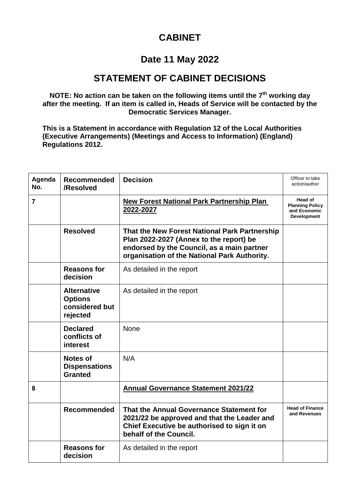## **CABINET**

## **Date 11 May 2022**

## **STATEMENT OF CABINET DECISIONS**

**NOTE: No action can be taken on the following items until the 7th working day after the meeting. If an item is called in, Heads of Service will be contacted by the Democratic Services Manager.**

**This is a Statement in accordance with Regulation 12 of the Local Authorities (Executive Arrangements) (Meetings and Access to Information) (England) Regulations 2012.**

| Agenda<br>No. | <b>Recommended</b><br>/Resolved                                    | <b>Decision</b>                                                                                                                                                                        | Officer to take<br>action/author                                        |
|---------------|--------------------------------------------------------------------|----------------------------------------------------------------------------------------------------------------------------------------------------------------------------------------|-------------------------------------------------------------------------|
| 7             |                                                                    | <b>New Forest National Park Partnership Plan</b><br>2022-2027                                                                                                                          | Head of<br><b>Planning Policy</b><br>and Economic<br><b>Development</b> |
|               | <b>Resolved</b>                                                    | That the New Forest National Park Partnership<br>Plan 2022-2027 (Annex to the report) be<br>endorsed by the Council, as a main partner<br>organisation of the National Park Authority. |                                                                         |
|               | <b>Reasons for</b><br>decision                                     | As detailed in the report                                                                                                                                                              |                                                                         |
|               | <b>Alternative</b><br><b>Options</b><br>considered but<br>rejected | As detailed in the report                                                                                                                                                              |                                                                         |
|               | <b>Declared</b><br>conflicts of<br>interest                        | <b>None</b>                                                                                                                                                                            |                                                                         |
|               | <b>Notes of</b><br><b>Dispensations</b><br><b>Granted</b>          | N/A                                                                                                                                                                                    |                                                                         |
| 8             |                                                                    | <b>Annual Governance Statement 2021/22</b>                                                                                                                                             |                                                                         |
|               | <b>Recommended</b>                                                 | That the Annual Governance Statement for<br>2021/22 be approved and that the Leader and<br>Chief Executive be authorised to sign it on<br>behalf of the Council.                       | <b>Head of Finance</b><br>and Revenues                                  |
|               | <b>Reasons for</b><br>decision                                     | As detailed in the report                                                                                                                                                              |                                                                         |